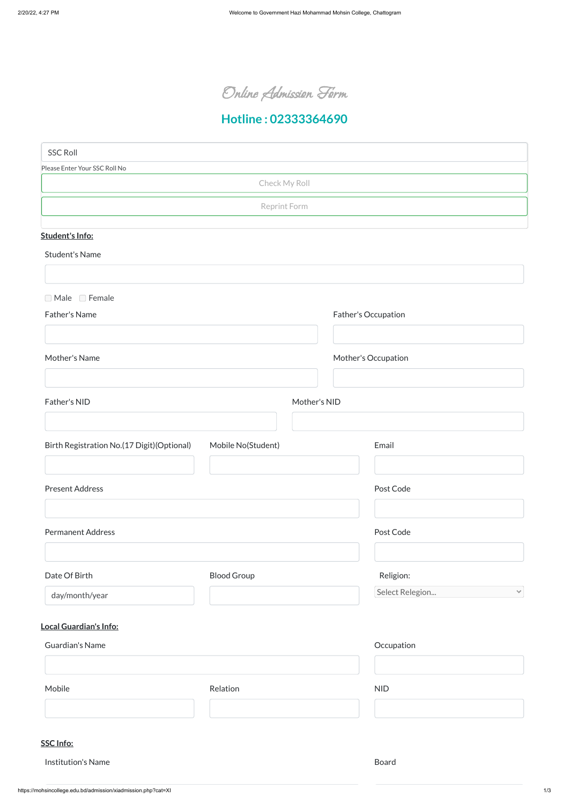Online Admission Form

# **Hotline : 02333364690**

## **Local Guardian's Info:**

## **SSC Info:**

#### Institution's Name Board

| Guardian's Name |          | Occupation |  |
|-----------------|----------|------------|--|
|                 |          |            |  |
| Mobile          | Relation | <b>NID</b> |  |
|                 |          |            |  |

| <b>SSC Roll</b>                                               |                    |              |                     |                     |              |
|---------------------------------------------------------------|--------------------|--------------|---------------------|---------------------|--------------|
| Please Enter Your SSC Roll No                                 |                    |              |                     |                     |              |
|                                                               | Check My Roll      |              |                     |                     |              |
|                                                               | Reprint Form       |              |                     |                     |              |
|                                                               |                    |              |                     |                     |              |
| Student's Info:                                               |                    |              |                     |                     |              |
| <b>Student's Name</b>                                         |                    |              |                     |                     |              |
|                                                               |                    |              |                     |                     |              |
| □ Male □ Female                                               |                    |              |                     |                     |              |
| Father's Name                                                 |                    |              | Father's Occupation |                     |              |
|                                                               |                    |              |                     |                     |              |
| Mother's Name                                                 |                    |              |                     | Mother's Occupation |              |
|                                                               |                    |              |                     |                     |              |
| Father's NID                                                  |                    | Mother's NID |                     |                     |              |
|                                                               |                    |              |                     |                     |              |
|                                                               |                    |              |                     |                     |              |
| Birth Registration No.(17 Digit)(Optional) Mobile No(Student) |                    |              |                     | Email               |              |
|                                                               |                    |              |                     |                     |              |
| <b>Present Address</b>                                        |                    |              | Post Code           |                     |              |
|                                                               |                    |              |                     |                     |              |
|                                                               |                    |              |                     | Post Code           |              |
| <b>Permanent Address</b>                                      |                    |              |                     |                     |              |
|                                                               |                    |              |                     |                     |              |
| Date Of Birth                                                 | <b>Blood Group</b> |              |                     | Religion:           |              |
| day/month/year                                                |                    |              |                     | Select Relegion     | $\checkmark$ |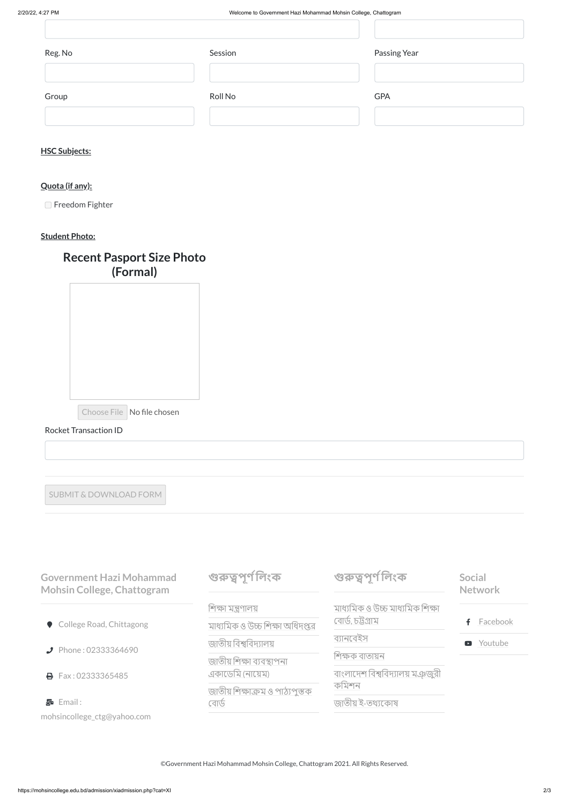#### **HSC Subjects:**

#### **Quota (if any):**

□ Freedom Fighter

### **Student Photo:**

| Reg. No | Session | Passing Year |
|---------|---------|--------------|
|         |         |              |
| Group   | Roll No | <b>GPA</b>   |
|         |         |              |

## **Recent Pasport Size Photo (Formal)**

Choose File No file chosen

#### Rocket Transaction ID

SUBMIT & DOWNLOAD FORM

মাধ্যমিক ও উচ্চ [মাধ্যমিক](https://bise-ctg.portal.gov.bd/) শিক্ষা বোর্ড,র্ডচট্টগ্রাম [ব্যানবেইস](http://www.banbeis.gov.bd/) শিক্ষক [বাতায়ন](https://www.teachers.gov.bd/) বাংলাদেশ [বিশ্ববিদ্যালয়](http://www.ugc.gov.bd/en) মঞ্জুরী কমিশন জাতীয় ই-[তথ্যকোষ](http://www.infokosh.gov.bd/) f [Facebook](https://www.facebook.com/GovtMohsincollegectg/) **D** [Youtube](https://mohsincollege.edu.bd/admission/www.youtube.com)

**Government Hazi Mohammad Mohsin College, Chattogram**

|  |  |  | College Road, Chittagong |
|--|--|--|--------------------------|
|--|--|--|--------------------------|

**Phone : 02333364690** 

**B** Fax: 02333365485

Email :

mohsincollege\_ctg@yahoo.com

**গুরুত্বপূর্ণ লিং র্ণ ক**

শিক্ষা [মন্ত্রণালয়](http://www.moedu.gov.bd/) মাধ্যমিক ও উচ্চ শিক্ষা [অধিদপ্তর](http://www.dshe.gov.bd/) জাতীয় [বিশ্ববিদ্যালয়](http://www.nu.edu.bd/) জাতীয় শিক্ষা [ব্যবস্থাপনা](http://www.naem.gov.bd/) একাডেমি (নায়েম) জাতীয় শিক্ষাক্রম ও [পাঠ্যপুস্তক](http://www.nctb.gov.bd/) বোর্ড

**গুরুত্বপূর্ণ লিং র্ণ ক**

**Social Network**

©Government Hazi Mohammad Mohsin College, Chattogram 2021. All Rights Reserved.